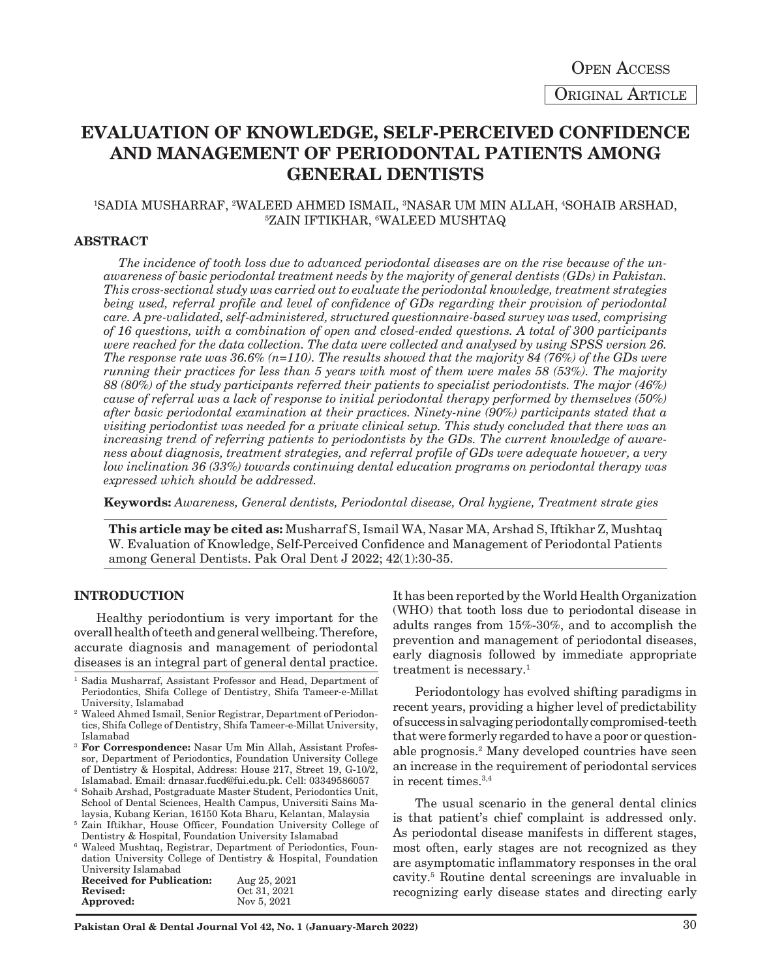Original Article Open Access

# **EVALUATION OF KNOWLEDGE, SELF-PERCEIVED CONFIDENCE AND MANAGEMENT OF PERIODONTAL PATIENTS AMONG GENERAL DENTISTS**

## <sup>1</sup>SADIA MUSHARRAF, <sup>2</sup>WALEED AHMED ISMAIL, <sup>3</sup>NASAR UM MIN ALLAH, <sup>4</sup>SOHAIB ARSHAD,<br>57AIN IETIKHAR 6WALEED MIISHTAO ZAIN IFTIKHAR, 6 WALEED MUSHTAQ

#### **ABSTRACT**

*The incidence of tooth loss due to advanced periodontal diseases are on the rise because of the unawareness of basic periodontal treatment needs by the majority of general dentists (GDs) in Pakistan. This cross-sectional study was carried out to evaluate the periodontal knowledge, treatment strategies being used, referral profile and level of confidence of GDs regarding their provision of periodontal care. A pre-validated, self-administered, structured questionnaire-based survey was used, comprising of 16 questions, with a combination of open and closed-ended questions. A total of 300 participants were reached for the data collection. The data were collected and analysed by using SPSS version 26. The response rate was 36.6% (n=110). The results showed that the majority 84 (76%) of the GDs were running their practices for less than 5 years with most of them were males 58 (53%). The majority 88 (80%) of the study participants referred their patients to specialist periodontists. The major (46%) cause of referral was a lack of response to initial periodontal therapy performed by themselves (50%) after basic periodontal examination at their practices. Ninety-nine (90%) participants stated that a visiting periodontist was needed for a private clinical setup. This study concluded that there was an increasing trend of referring patients to periodontists by the GDs. The current knowledge of awareness about diagnosis, treatment strategies, and referral profile of GDs were adequate however, a very low inclination 36 (33%) towards continuing dental education programs on periodontal therapy was expressed which should be addressed.*

**Keywords:** *Awareness, General dentists, Periodontal disease, Oral hygiene, Treatment strate gies*

**This article may be cited as:** Musharraf S, Ismail WA, Nasar MA, Arshad S, Iftikhar Z, Mushtaq W. Evaluation of Knowledge, Self-Perceived Confidence and Management of Periodontal Patients among General Dentists. Pak Oral Dent J 2022; 42(1):30-35.

#### **INTRODUCTION**

Healthy periodontium is very important for the overall health of teeth and general wellbeing. Therefore, accurate diagnosis and management of periodontal diseases is an integral part of general dental practice.

- <sup>3</sup> **For Correspondence:** Nasar Um Min Allah, Assistant Professor, Department of Periodontics, Foundation University College of Dentistry & Hospital, Address: House 217, Street 19, G-10/2, Islamabad. Email: drnasar.fucd@fui.edu.pk. Cell: 03349586057
- <sup>4</sup> Sohaib Arshad, Postgraduate Master Student, Periodontics Unit, School of Dental Sciences, Health Campus, Universiti Sains Malaysia, Kubang Kerian, 16150 Kota Bharu, Kelantan, Malaysia
- <sup>5</sup> Zain Iftikhar, House Officer, Foundation University College of Dentistry & Hospital, Foundation University Islamabad
- <sup>6</sup> Waleed Mushtaq, Registrar, Department of Periodontics, Foundation University College of Dentistry & Hospital, Foundation University Islamabad

| <b>Received for Publication:</b> | Aug 25, 2021 |
|----------------------------------|--------------|
| Revised:                         | Oct 31, 2021 |
| Approved:                        | Nov 5, 2021  |

It has been reported by the World Health Organization (WHO) that tooth loss due to periodontal disease in adults ranges from 15%-30%, and to accomplish the prevention and management of periodontal diseases, early diagnosis followed by immediate appropriate treatment is necessary.<sup>1</sup>

Periodontology has evolved shifting paradigms in recent years, providing a higher level of predictability of success in salvaging periodontally compromised-teeth that were formerly regarded to have a poor or questionable prognosis.2 Many developed countries have seen an increase in the requirement of periodontal services in recent times.3,4

The usual scenario in the general dental clinics is that patient's chief complaint is addressed only. As periodontal disease manifests in different stages, most often, early stages are not recognized as they are asymptomatic inflammatory responses in the oral cavity.5 Routine dental screenings are invaluable in recognizing early disease states and directing early

<sup>&</sup>lt;sup>1</sup> Sadia Musharraf, Assistant Professor and Head, Department of Periodontics, Shifa College of Dentistry, Shifa Tameer-e-Millat University, Islamabad

<sup>2</sup> Waleed Ahmed Ismail, Senior Registrar, Department of Periodontics, Shifa College of Dentistry, Shifa Tameer-e-Millat University, Islamabad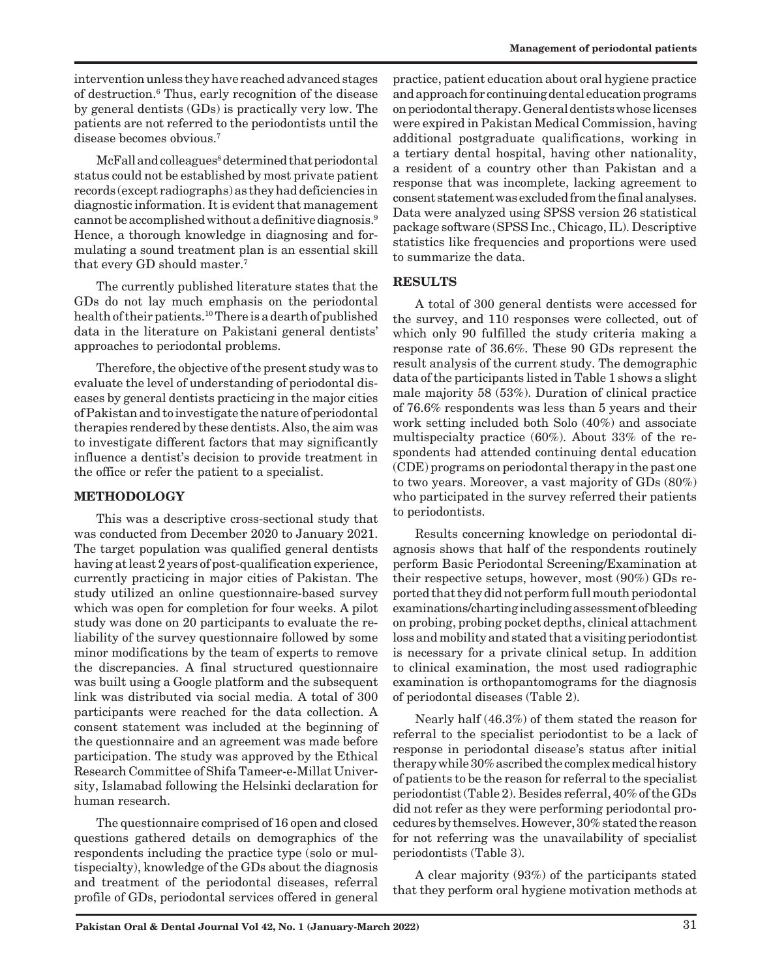intervention unless they have reached advanced stages of destruction.6 Thus, early recognition of the disease by general dentists (GDs) is practically very low. The patients are not referred to the periodontists until the disease becomes obvious.7

McFall and colleagues<sup>8</sup> determined that periodontal status could not be established by most private patient records (except radiographs) as they had deficiencies in diagnostic information. It is evident that management cannot be accomplished without a definitive diagnosis.9 Hence, a thorough knowledge in diagnosing and formulating a sound treatment plan is an essential skill that every GD should master.7

The currently published literature states that the GDs do not lay much emphasis on the periodontal health of their patients.10 There is a dearth of published data in the literature on Pakistani general dentists' approaches to periodontal problems.

Therefore, the objective of the present study was to evaluate the level of understanding of periodontal diseases by general dentists practicing in the major cities of Pakistan and to investigate the nature of periodontal therapies rendered by these dentists. Also, the aim was to investigate different factors that may significantly influence a dentist's decision to provide treatment in the office or refer the patient to a specialist.

## **METHODOLOGY**

This was a descriptive cross-sectional study that was conducted from December 2020 to January 2021. The target population was qualified general dentists having at least 2 years of post-qualification experience, currently practicing in major cities of Pakistan. The study utilized an online questionnaire-based survey which was open for completion for four weeks. A pilot study was done on 20 participants to evaluate the reliability of the survey questionnaire followed by some minor modifications by the team of experts to remove the discrepancies. A final structured questionnaire was built using a Google platform and the subsequent link was distributed via social media. A total of 300 participants were reached for the data collection. A consent statement was included at the beginning of the questionnaire and an agreement was made before participation. The study was approved by the Ethical Research Committee of Shifa Tameer-e-Millat University, Islamabad following the Helsinki declaration for human research.

The questionnaire comprised of 16 open and closed questions gathered details on demographics of the respondents including the practice type (solo or multispecialty), knowledge of the GDs about the diagnosis and treatment of the periodontal diseases, referral profile of GDs, periodontal services offered in general

practice, patient education about oral hygiene practice and approach for continuing dental education programs on periodontal therapy. General dentists whose licenses were expired in Pakistan Medical Commission, having additional postgraduate qualifications, working in a tertiary dental hospital, having other nationality, a resident of a country other than Pakistan and a response that was incomplete, lacking agreement to consent statement was excluded from the final analyses. Data were analyzed using SPSS version 26 statistical package software (SPSS Inc., Chicago, IL). Descriptive statistics like frequencies and proportions were used to summarize the data.

## **RESULTS**

A total of 300 general dentists were accessed for the survey, and 110 responses were collected, out of which only 90 fulfilled the study criteria making a response rate of 36.6%. These 90 GDs represent the result analysis of the current study. The demographic data of the participants listed in Table 1 shows a slight male majority 58 (53%). Duration of clinical practice of 76.6% respondents was less than 5 years and their work setting included both Solo (40%) and associate multispecialty practice (60%). About 33% of the respondents had attended continuing dental education (CDE) programs on periodontal therapy in the past one to two years. Moreover, a vast majority of GDs (80%) who participated in the survey referred their patients to periodontists.

Results concerning knowledge on periodontal diagnosis shows that half of the respondents routinely perform Basic Periodontal Screening/Examination at their respective setups, however, most (90%) GDs reported that they did not perform full mouth periodontal examinations/charting including assessment of bleeding on probing, probing pocket depths, clinical attachment loss and mobility and stated that a visiting periodontist is necessary for a private clinical setup. In addition to clinical examination, the most used radiographic examination is orthopantomograms for the diagnosis of periodontal diseases (Table 2).

Nearly half (46.3%) of them stated the reason for referral to the specialist periodontist to be a lack of response in periodontal disease's status after initial therapy while 30% ascribed the complex medical history of patients to be the reason for referral to the specialist periodontist (Table 2). Besides referral, 40% of the GDs did not refer as they were performing periodontal procedures by themselves. However, 30% stated the reason for not referring was the unavailability of specialist periodontists (Table 3).

A clear majority (93%) of the participants stated that they perform oral hygiene motivation methods at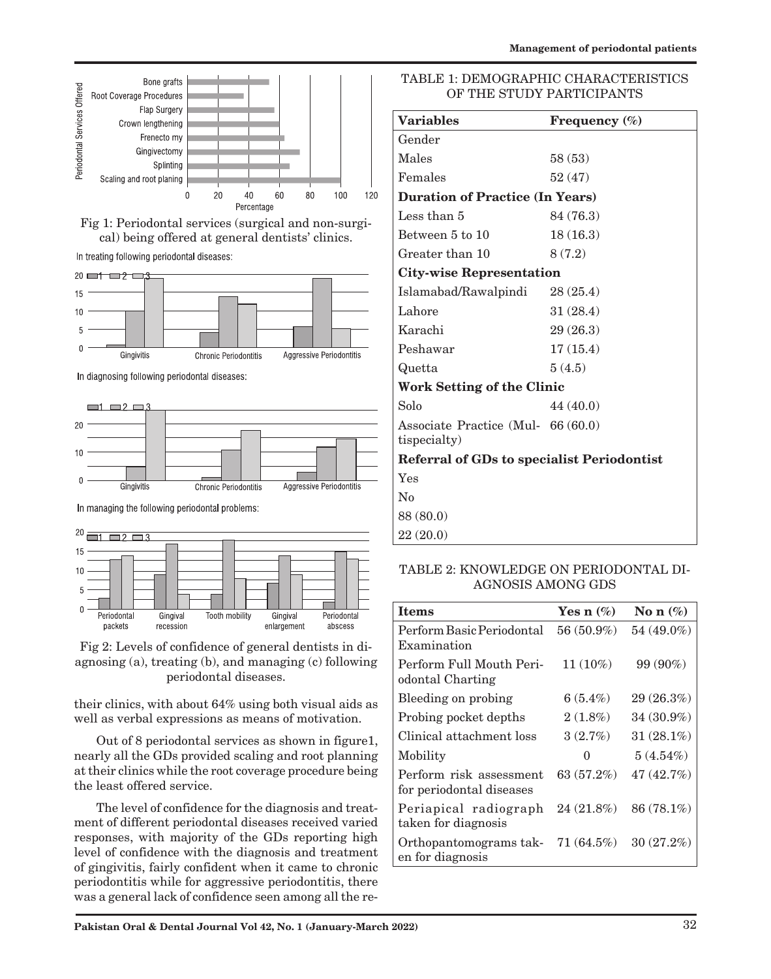

Fig 1: Periodontal services (surgical and non-surgical) being offered at general dentists' clinics.

In treating following periodontal diseases:



In diagnosing following periodontal diseases:



In managing the following periodontal problems:





their clinics, with about 64% using both visual aids as well as verbal expressions as means of motivation.

Out of 8 periodontal services as shown in figure1, nearly all the GDs provided scaling and root planning at their clinics while the root coverage procedure being the least offered service.

The level of confidence for the diagnosis and treatment of different periodontal diseases received varied responses, with majority of the GDs reporting high level of confidence with the diagnosis and treatment of gingivitis, fairly confident when it came to chronic periodontitis while for aggressive periodontitis, there was a general lack of confidence seen among all the re-

## TABLE 1: DEMOGRAPHIC CHARACTERISTICS OF THE STUDY PARTICIPANTS

| Frequency $(\%)$                                  |  |  |
|---------------------------------------------------|--|--|
|                                                   |  |  |
| 58 (53)                                           |  |  |
| 52(47)                                            |  |  |
| <b>Duration of Practice (In Years)</b>            |  |  |
| 84 (76.3)                                         |  |  |
| 18(16.3)                                          |  |  |
| 8(7.2)                                            |  |  |
| <b>City-wise Representation</b>                   |  |  |
| 28(25.4)                                          |  |  |
| 31(28.4)                                          |  |  |
| 29(26.3)                                          |  |  |
| 17(15.4)                                          |  |  |
| 5(4.5)                                            |  |  |
| Work Setting of the Clinic                        |  |  |
| 44 (40.0)                                         |  |  |
| Associate Practice (Mul- 66 (60.0)                |  |  |
| <b>Referral of GDs to specialist Periodontist</b> |  |  |
|                                                   |  |  |
|                                                   |  |  |
|                                                   |  |  |
|                                                   |  |  |
|                                                   |  |  |

## TABLE 2: KNOWLEDGE ON PERIODONTAL DI-AGNOSIS AMONG GDS

| <b>Items</b>                                        | Yes n $(\%)$      | No n $(\%)$  |
|-----------------------------------------------------|-------------------|--------------|
| Perform Basic Periodontal<br>Examination            | $56(50.9\%)$      | $54(49.0\%)$ |
| Perform Full Mouth Peri-<br>odontal Charting        | $11(10\%)$        | 99 (90%)     |
| Bleeding on probing                                 | 6 $(5.4\%)$       | 29(26.3%)    |
| Probing pocket depths                               | $2(1.8\%)$        | $34(30.9\%)$ |
| Clinical attachment loss                            | 3(2.7%)           | $31(28.1\%)$ |
| Mobility                                            | $\mathbf{\Omega}$ | $5(4.54\%)$  |
| Perform risk assessment<br>for periodontal diseases | 63 (57.2%)        | 47(42.7%)    |
| Periapical radiograph<br>taken for diagnosis        | 24(21.8%)         | $86(78.1\%)$ |
| Orthopantomograms tak-<br>en for diagnosis          | $71(64.5\%)$      | $30(27.2\%)$ |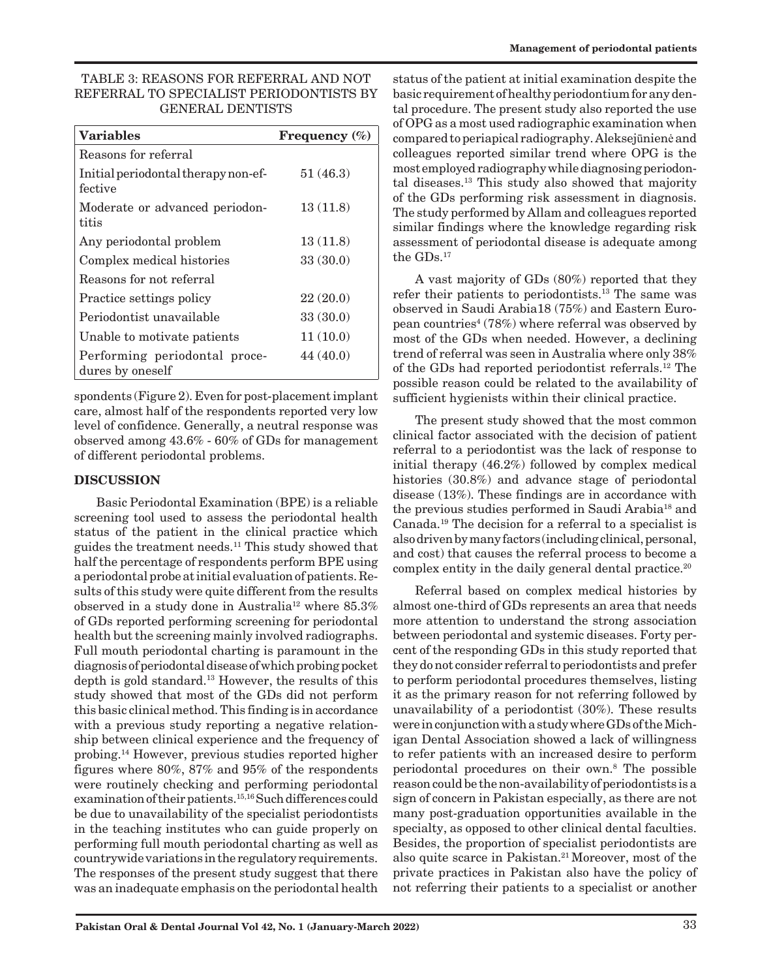## TABLE 3: REASONS FOR REFERRAL AND NOT REFERRAL TO SPECIALIST PERIODONTISTS BY GENERAL DENTISTS

| <b>Variables</b>                                  | Frequency (%) |
|---------------------------------------------------|---------------|
| Reasons for referral                              |               |
| Initial periodontal therapy non-ef-<br>fective    | 51(46.3)      |
| Moderate or advanced periodon-<br>titis           | 13(11.8)      |
| Any periodontal problem                           | 13(11.8)      |
| Complex medical histories                         | 33(30.0)      |
| Reasons for not referral                          |               |
| Practice settings policy                          | 22(20.0)      |
| Periodontist unavailable                          | 33(30.0)      |
| Unable to motivate patients                       | 11(10.0)      |
| Performing periodontal proce-<br>dures by oneself | 44 (40.0)     |

spondents (Figure 2). Even for post-placement implant care, almost half of the respondents reported very low level of confidence. Generally, a neutral response was observed among 43.6% - 60% of GDs for management of different periodontal problems.

## **DISCUSSION**

Basic Periodontal Examination (BPE) is a reliable screening tool used to assess the periodontal health status of the patient in the clinical practice which guides the treatment needs.11 This study showed that half the percentage of respondents perform BPE using a periodontal probe at initial evaluation of patients. Results of this study were quite different from the results observed in a study done in Australia<sup>12</sup> where  $85.3\%$ of GDs reported performing screening for periodontal health but the screening mainly involved radiographs. Full mouth periodontal charting is paramount in the diagnosis of periodontal disease of which probing pocket depth is gold standard.13 However, the results of this study showed that most of the GDs did not perform this basic clinical method. This finding is in accordance with a previous study reporting a negative relationship between clinical experience and the frequency of probing.14 However, previous studies reported higher figures where 80%, 87% and 95% of the respondents were routinely checking and performing periodontal examination of their patients.<sup>15,16</sup> Such differences could be due to unavailability of the specialist periodontists in the teaching institutes who can guide properly on performing full mouth periodontal charting as well as countrywide variations in the regulatory requirements. The responses of the present study suggest that there was an inadequate emphasis on the periodontal health

status of the patient at initial examination despite the basic requirement of healthy periodontium for any dental procedure. The present study also reported the use of OPG as a most used radiographic examination when compared to periapical radiography. Aleksejūnienė and colleagues reported similar trend where OPG is the most employed radiography while diagnosing periodontal diseases.13 This study also showed that majority of the GDs performing risk assessment in diagnosis. The study performed by Allam and colleagues reported similar findings where the knowledge regarding risk assessment of periodontal disease is adequate among the GDs.17

A vast majority of GDs (80%) reported that they refer their patients to periodontists.13 The same was observed in Saudi Arabia18 (75%) and Eastern European countries<sup>4</sup> (78%) where referral was observed by most of the GDs when needed. However, a declining trend of referral was seen in Australia where only 38% of the GDs had reported periodontist referrals.12 The possible reason could be related to the availability of sufficient hygienists within their clinical practice.

The present study showed that the most common clinical factor associated with the decision of patient referral to a periodontist was the lack of response to initial therapy (46.2%) followed by complex medical histories (30.8%) and advance stage of periodontal disease (13%). These findings are in accordance with the previous studies performed in Saudi Arabia18 and Canada.19 The decision for a referral to a specialist is also driven by many factors (including clinical, personal, and cost) that causes the referral process to become a complex entity in the daily general dental practice.<sup>20</sup>

Referral based on complex medical histories by almost one-third of GDs represents an area that needs more attention to understand the strong association between periodontal and systemic diseases. Forty percent of the responding GDs in this study reported that they do not consider referral to periodontists and prefer to perform periodontal procedures themselves, listing it as the primary reason for not referring followed by unavailability of a periodontist (30%). These results were in conjunction with a study where GDs of the Michigan Dental Association showed a lack of willingness to refer patients with an increased desire to perform periodontal procedures on their own.8 The possible reason could be the non-availability of periodontists is a sign of concern in Pakistan especially, as there are not many post-graduation opportunities available in the specialty, as opposed to other clinical dental faculties. Besides, the proportion of specialist periodontists are also quite scarce in Pakistan.<sup>21</sup> Moreover, most of the private practices in Pakistan also have the policy of not referring their patients to a specialist or another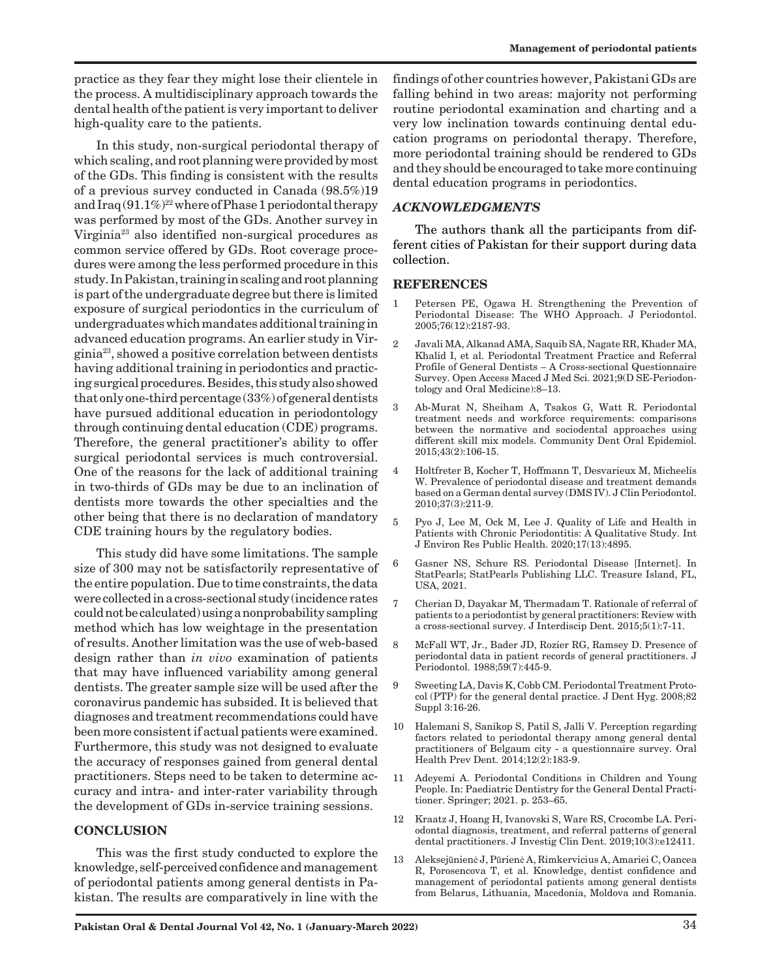practice as they fear they might lose their clientele in the process. A multidisciplinary approach towards the dental health of the patient is very important to deliver high-quality care to the patients.

In this study, non-surgical periodontal therapy of which scaling, and root planning were provided by most of the GDs. This finding is consistent with the results of a previous survey conducted in Canada (98.5%)19 and Iraq  $(91.1\%)^{22}$  where of Phase 1 periodontal therapy was performed by most of the GDs. Another survey in Virginia23 also identified non-surgical procedures as common service offered by GDs. Root coverage procedures were among the less performed procedure in this study. In Pakistan, training in scaling and root planning is part of the undergraduate degree but there is limited exposure of surgical periodontics in the curriculum of undergraduates which mandates additional training in advanced education programs. An earlier study in Virginia23, showed a positive correlation between dentists having additional training in periodontics and practicing surgical procedures. Besides, this study also showed that only one-third percentage (33%) of general dentists have pursued additional education in periodontology through continuing dental education (CDE) programs. Therefore, the general practitioner's ability to offer surgical periodontal services is much controversial. One of the reasons for the lack of additional training in two-thirds of GDs may be due to an inclination of dentists more towards the other specialties and the other being that there is no declaration of mandatory CDE training hours by the regulatory bodies.

This study did have some limitations. The sample size of 300 may not be satisfactorily representative of the entire population. Due to time constraints, the data were collected in a cross-sectional study (incidence rates could not be calculated) using a nonprobability sampling method which has low weightage in the presentation of results. Another limitation was the use of web-based design rather than *in vivo* examination of patients that may have influenced variability among general dentists. The greater sample size will be used after the coronavirus pandemic has subsided. It is believed that diagnoses and treatment recommendations could have been more consistent if actual patients were examined. Furthermore, this study was not designed to evaluate the accuracy of responses gained from general dental practitioners. Steps need to be taken to determine accuracy and intra- and inter-rater variability through the development of GDs in-service training sessions.

#### **CONCLUSION**

This was the first study conducted to explore the knowledge, self-perceived confidence and management of periodontal patients among general dentists in Pakistan. The results are comparatively in line with the findings of other countries however, Pakistani GDs are falling behind in two areas: majority not performing routine periodontal examination and charting and a very low inclination towards continuing dental education programs on periodontal therapy. Therefore, more periodontal training should be rendered to GDs and they should be encouraged to take more continuing dental education programs in periodontics.

#### *ACKNOWLEDGMENTS*

The authors thank all the participants from different cities of Pakistan for their support during data collection.

#### **REFERENCES**

- 1 Petersen PE, Ogawa H. Strengthening the Prevention of Periodontal Disease: The WHO Approach. J Periodontol. 2005;76(12):2187-93.
- 2 Javali MA, Alkanad AMA, Saquib SA, Nagate RR, Khader MA, Khalid I, et al. Periodontal Treatment Practice and Referral Profile of General Dentists – A Cross-sectional Questionnaire Survey. Open Access Maced J Med Sci. 2021;9(D SE-Periodontology and Oral Medicine):8–13.
- 3 Ab-Murat N, Sheiham A, Tsakos G, Watt R. Periodontal treatment needs and workforce requirements: comparisons between the normative and sociodental approaches using different skill mix models. Community Dent Oral Epidemiol. 2015;43(2):106-15.
- 4 Holtfreter B, Kocher T, Hoffmann T, Desvarieux M, Micheelis W. Prevalence of periodontal disease and treatment demands based on a German dental survey (DMS IV). J Clin Periodontol. 2010;37(3):211-9.
- 5 Pyo J, Lee M, Ock M, Lee J. Quality of Life and Health in Patients with Chronic Periodontitis: A Qualitative Study. Int J Environ Res Public Health. 2020;17(13):4895.
- 6 Gasner NS, Schure RS. Periodontal Disease [Internet]. In StatPearls; StatPearls Publishing LLC. Treasure Island, FL, USA, 2021.
- 7 Cherian D, Dayakar M, Thermadam T. Rationale of referral of patients to a periodontist by general practitioners: Review with a cross-sectional survey. J Interdiscip Dent. 2015;5(1):7-11.
- 8 McFall WT, Jr., Bader JD, Rozier RG, Ramsey D. Presence of periodontal data in patient records of general practitioners. J Periodontol. 1988;59(7):445-9.
- 9 Sweeting LA, Davis K, Cobb CM. Periodontal Treatment Protocol (PTP) for the general dental practice. J Dent Hyg. 2008;82 Suppl 3:16-26.
- 10 Halemani S, Sanikop S, Patil S, Jalli V. Perception regarding factors related to periodontal therapy among general dental practitioners of Belgaum city - a questionnaire survey. Oral Health Prev Dent. 2014;12(2):183-9.
- 11 Adeyemi A. Periodontal Conditions in Children and Young People. In: Paediatric Dentistry for the General Dental Practitioner. Springer; 2021. p. 253–65.
- 12 Kraatz J, Hoang H, Ivanovski S, Ware RS, Crocombe LA. Periodontal diagnosis, treatment, and referral patterns of general dental practitioners. J Investig Clin Dent. 2019;10(3):e12411.
- 13 Aleksejūnienė J, Pūrienė A, Rimkervicius A, Amariei C, Oancea R, Porosencova T, et al. Knowledge, dentist confidence and management of periodontal patients among general dentists from Belarus, Lithuania, Macedonia, Moldova and Romania.